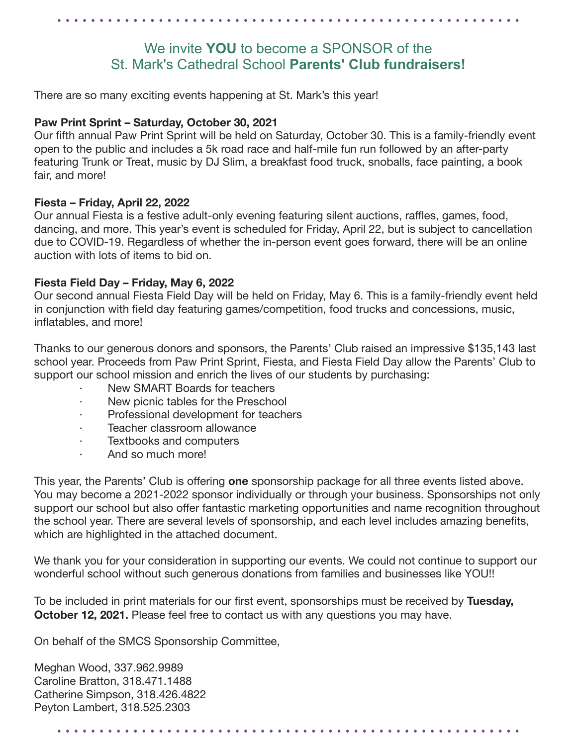### We invite **YOU** to become a SPONSOR of the St. Mark's Cathedral School **Parents' Club fundraisers!**

There are so many exciting events happening at St. Mark's this year!

#### **Paw Print Sprint – Saturday, October 30, 2021**

Our fifth annual Paw Print Sprint will be held on Saturday, October 30. This is a family-friendly event open to the public and includes a 5k road race and half-mile fun run followed by an after-party featuring Trunk or Treat, music by DJ Slim, a breakfast food truck, snoballs, face painting, a book fair, and more!

#### **Fiesta – Friday, April 22, 2022**

Our annual Fiesta is a festive adult-only evening featuring silent auctions, raffles, games, food, dancing, and more. This year's event is scheduled for Friday, April 22, but is subject to cancellation due to COVID-19. Regardless of whether the in-person event goes forward, there will be an online auction with lots of items to bid on.

#### **Fiesta Field Day – Friday, May 6, 2022**

Our second annual Fiesta Field Day will be held on Friday, May 6. This is a family-friendly event held in conjunction with field day featuring games/competition, food trucks and concessions, music, inflatables, and more!

Thanks to our generous donors and sponsors, the Parents' Club raised an impressive \$135,143 last school year. Proceeds from Paw Print Sprint, Fiesta, and Fiesta Field Day allow the Parents' Club to support our school mission and enrich the lives of our students by purchasing:

- New SMART Boards for teachers
- New picnic tables for the Preschool
- Professional development for teachers
- Teacher classroom allowance
- Textbooks and computers
- · And so much more!

This year, the Parents' Club is offering **one** sponsorship package for all three events listed above. You may become a 2021-2022 sponsor individually or through your business. Sponsorships not only support our school but also offer fantastic marketing opportunities and name recognition throughout the school year. There are several levels of sponsorship, and each level includes amazing benefits, which are highlighted in the attached document.

We thank you for your consideration in supporting our events. We could not continue to support our wonderful school without such generous donations from families and businesses like YOU!!

To be included in print materials for our first event, sponsorships must be received by **Tuesday, October 12, 2021.** Please feel free to contact us with any questions you may have.

On behalf of the SMCS Sponsorship Committee,

Meghan Wood, 337.962.9989 Caroline Bratton, 318.471.1488 Catherine Simpson, 318.426.4822 Peyton Lambert, 318.525.2303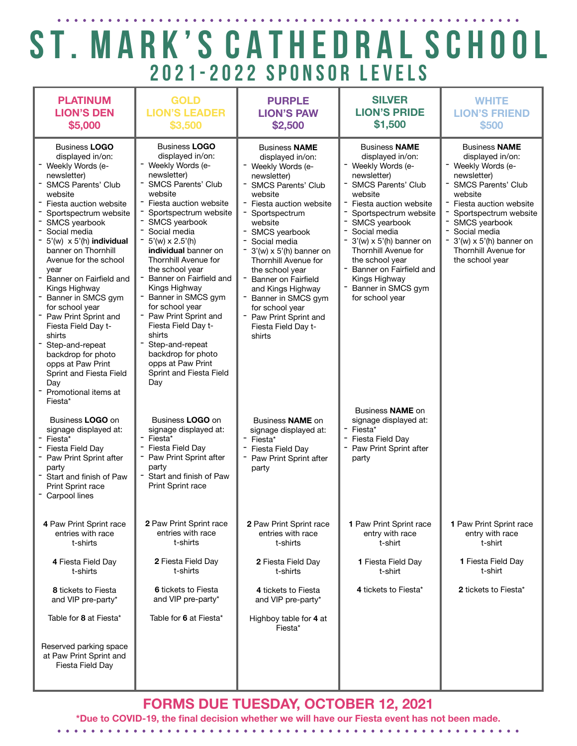### ST. MARK'S CATHEDRAL SCHOOL 2021-2022 SPONSOR LEVELS

| <b>PLATINUM</b><br><b>LION'S DEN</b><br>\$5,000                                                                                                                                                                                                                                                                                                                                                                                                                                                                                                                            | <b>GOLD</b><br><b>LION'S LEADER</b><br>\$3,500                                                                                                                                                                                                                                                                                                                                                                                                                                                                                                   | <b>PURPLE</b><br><b>LION'S PAW</b><br>\$2,500                                                                                                                                                                                                                                                                                                                                                                                          | <b>SILVER</b><br><b>LION'S PRIDE</b><br>\$1,500                                                                                                                                                                                                                                                                                                                           | <b>WHITE</b><br><b>LION'S FRIEND</b><br>\$500                                                                                                                                                                                                                                          |
|----------------------------------------------------------------------------------------------------------------------------------------------------------------------------------------------------------------------------------------------------------------------------------------------------------------------------------------------------------------------------------------------------------------------------------------------------------------------------------------------------------------------------------------------------------------------------|--------------------------------------------------------------------------------------------------------------------------------------------------------------------------------------------------------------------------------------------------------------------------------------------------------------------------------------------------------------------------------------------------------------------------------------------------------------------------------------------------------------------------------------------------|----------------------------------------------------------------------------------------------------------------------------------------------------------------------------------------------------------------------------------------------------------------------------------------------------------------------------------------------------------------------------------------------------------------------------------------|---------------------------------------------------------------------------------------------------------------------------------------------------------------------------------------------------------------------------------------------------------------------------------------------------------------------------------------------------------------------------|----------------------------------------------------------------------------------------------------------------------------------------------------------------------------------------------------------------------------------------------------------------------------------------|
| <b>Business LOGO</b><br>displayed in/on:<br>Weekly Words (e-<br>newsletter)<br><b>SMCS Parents' Club</b><br>website<br>Fiesta auction website<br>Sportspectrum website<br>SMCS yearbook<br>Social media<br>$5'(w) \times 5'(h)$ individual<br>banner on Thornhill<br>Avenue for the school<br>year<br>Banner on Fairfield and<br>Kings Highway<br>Banner in SMCS gym<br>for school year<br>- Paw Print Sprint and<br>Fiesta Field Day t-<br>shirts<br>Step-and-repeat<br>backdrop for photo<br>opps at Paw Print<br>Sprint and Fiesta Field<br>Day<br>Promotional items at | <b>Business LOGO</b><br>displayed in/on:<br>Weekly Words (e-<br>newsletter)<br>- SMCS Parents' Club<br>website<br>Fiesta auction website<br>Sportspectrum website<br>- SMCS yearbook<br>Social media<br>$-5'(w) \times 2.5'(h)$<br>individual banner on<br>Thornhill Avenue for<br>the school year<br>Banner on Fairfield and<br>Kings Highway<br>Banner in SMCS gym<br>for school year<br>Paw Print Sprint and<br>Fiesta Field Day t-<br>shirts<br>Step-and-repeat<br>backdrop for photo<br>opps at Paw Print<br>Sprint and Fiesta Field<br>Day | <b>Business NAME</b><br>displayed in/on:<br>- Weekly Words (e-<br>newsletter)<br>- SMCS Parents' Club<br>website<br>- Fiesta auction website<br>Sportspectrum<br>website<br>SMCS yearbook<br>Social media<br>$3'(w) \times 5'(h)$ banner on<br>Thornhill Avenue for<br>the school year<br>Banner on Fairfield<br>and Kings Highway<br>Banner in SMCS gym<br>for school year<br>- Paw Print Sprint and<br>Fiesta Field Day t-<br>shirts | <b>Business NAME</b><br>displayed in/on:<br>Weekly Words (e-<br>newsletter)<br><b>SMCS Parents' Club</b><br>website<br>Fiesta auction website<br>Sportspectrum website<br>SMCS yearbook<br>Social media<br>$3'(w) \times 5'(h)$ banner on<br>Thornhill Avenue for<br>the school year<br>Banner on Fairfield and<br>Kings Highway<br>Banner in SMCS gym<br>for school year | <b>Business NAME</b><br>displayed in/on:<br>- Weekly Words (e-<br>newsletter)<br><b>SMCS Parents' Club</b><br>website<br>Fiesta auction website<br>Sportspectrum website<br>SMCS yearbook<br>Social media<br>$3'(w) \times 5'(h)$ banner on<br>Thornhill Avenue for<br>the school year |
| Fiesta*<br>Business LOGO on<br>signage displayed at:<br>Fiesta*<br>Fiesta Field Day<br>- Paw Print Sprint after<br>party<br>Start and finish of Paw<br>Print Sprint race<br>Carpool lines                                                                                                                                                                                                                                                                                                                                                                                  | Business LOGO on<br>signage displayed at:<br>- Fiesta*<br>Fiesta Field Day<br>Paw Print Sprint after<br>party<br>- Start and finish of Paw<br>Print Sprint race                                                                                                                                                                                                                                                                                                                                                                                  | Business <b>NAME</b> on<br>signage displayed at:<br>- Fiesta*<br>Fiesta Field Day<br>- Paw Print Sprint after<br>party                                                                                                                                                                                                                                                                                                                 | Business <b>NAME</b> on<br>signage displayed at:<br>Fiesta*<br>Fiesta Field Day<br>Paw Print Sprint after<br>party                                                                                                                                                                                                                                                        |                                                                                                                                                                                                                                                                                        |
| 4 Paw Print Sprint race<br>entries with race<br>t-shirts                                                                                                                                                                                                                                                                                                                                                                                                                                                                                                                   | 2 Paw Print Sprint race<br>entries with race<br>t-shirts                                                                                                                                                                                                                                                                                                                                                                                                                                                                                         | 2 Paw Print Sprint race<br>entries with race<br>t-shirts                                                                                                                                                                                                                                                                                                                                                                               | 1 Paw Print Sprint race<br>entry with race<br>t-shirt                                                                                                                                                                                                                                                                                                                     | 1 Paw Print Sprint race<br>entry with race<br>t-shirt                                                                                                                                                                                                                                  |
| 4 Fiesta Field Day<br>t-shirts                                                                                                                                                                                                                                                                                                                                                                                                                                                                                                                                             | 2 Fiesta Field Day<br>t-shirts                                                                                                                                                                                                                                                                                                                                                                                                                                                                                                                   | 2 Fiesta Field Day<br>t-shirts                                                                                                                                                                                                                                                                                                                                                                                                         | 1 Fiesta Field Day<br>t-shirt                                                                                                                                                                                                                                                                                                                                             | 1 Fiesta Field Day<br>t-shirt                                                                                                                                                                                                                                                          |
| 8 tickets to Fiesta<br>and VIP pre-party*                                                                                                                                                                                                                                                                                                                                                                                                                                                                                                                                  | 6 tickets to Fiesta<br>and VIP pre-party*                                                                                                                                                                                                                                                                                                                                                                                                                                                                                                        | 4 tickets to Fiesta<br>and VIP pre-party*                                                                                                                                                                                                                                                                                                                                                                                              | 4 tickets to Fiesta*                                                                                                                                                                                                                                                                                                                                                      | 2 tickets to Fiesta*                                                                                                                                                                                                                                                                   |
| Table for 8 at Fiesta*                                                                                                                                                                                                                                                                                                                                                                                                                                                                                                                                                     | Table for 6 at Fiesta*                                                                                                                                                                                                                                                                                                                                                                                                                                                                                                                           | Highboy table for 4 at<br>Fiesta*                                                                                                                                                                                                                                                                                                                                                                                                      |                                                                                                                                                                                                                                                                                                                                                                           |                                                                                                                                                                                                                                                                                        |
| Reserved parking space<br>at Paw Print Sprint and<br>Fiesta Field Day                                                                                                                                                                                                                                                                                                                                                                                                                                                                                                      |                                                                                                                                                                                                                                                                                                                                                                                                                                                                                                                                                  |                                                                                                                                                                                                                                                                                                                                                                                                                                        |                                                                                                                                                                                                                                                                                                                                                                           |                                                                                                                                                                                                                                                                                        |

**FORMS DUE TUESDAY, OCTOBER 12, 2021** 

**\*Due to COVID-19, the final decision whether we will have our Fiesta event has not been made.**